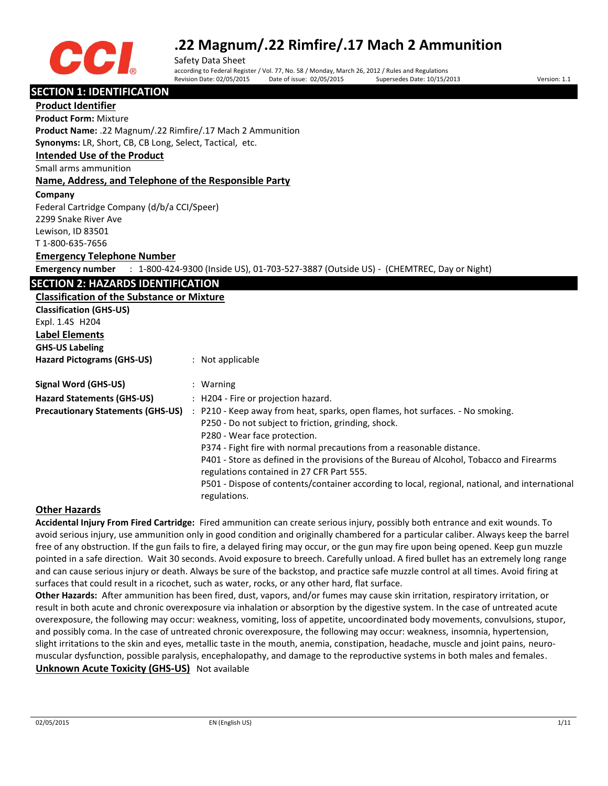

Safety Data Sheet according to Federal Register / Vol. 77, No. 58 / Monday, March 26, 2012 / Rules and Regulations Date of issue: 02/05/2015 Supersedes Date: 10/15/2013 Version: 1.1

## **SECTION 1: IDENTIFICATION**

**Product Identifier Product Form:** Mixture **Product Name:** .22 Magnum/.22 Rimfire/.17 Mach 2 Ammunition **Synonyms:** LR, Short, CB, CB Long, Select, Tactical, etc. **Intended Use of the Product** Small arms ammunition **Name, Address, and Telephone of the Responsible Party Company**  Federal Cartridge Company (d/b/a CCI/Speer) 2299 Snake River Ave Lewison, ID 83501 T 1-800-635-7656 **Emergency Telephone Number Emergency number** : 1-800-424-9300 (Inside US), 01-703-527-3887 (Outside US) - (CHEMTREC, Day or Night) **SECTION 2: HAZARDS IDENTIFICATION Classification of the Substance or Mixture Classification (GHS-US)** Expl. 1.4S H204 **Label Elements GHS-US Labeling Hazard Pictograms (GHS-US)** : Not applicable **Signal Word (GHS-US)** : Warning **Hazard Statements (GHS-US)** : H204 - Fire or projection hazard. **Precautionary Statements (GHS-US)** : P210 - Keep away from heat, sparks, open flames, hot surfaces. - No smoking. P250 - Do not subject to friction, grinding, shock. P280 - Wear face protection. P374 - Fight fire with normal precautions from a reasonable distance. P401 - Store as defined in the provisions of the Bureau of Alcohol, Tobacco and Firearms regulations contained in 27 CFR Part 555. P501 - Dispose of contents/container according to local, regional, national, and international regulations.

## **Other Hazards**

**Accidental Injury From Fired Cartridge:** Fired ammunition can create serious injury, possibly both entrance and exit wounds. To avoid serious injury, use ammunition only in good condition and originally chambered for a particular caliber. Always keep the barrel free of any obstruction. If the gun fails to fire, a delayed firing may occur, or the gun may fire upon being opened. Keep gun muzzle pointed in a safe direction. Wait 30 seconds. Avoid exposure to breech. Carefully unload. A fired bullet has an extremely long range and can cause serious injury or death. Always be sure of the backstop, and practice safe muzzle control at all times. Avoid firing at surfaces that could result in a ricochet, such as water, rocks, or any other hard, flat surface.

**Other Hazards:** After ammunition has been fired, dust, vapors, and/or fumes may cause skin irritation, respiratory irritation, or result in both acute and chronic overexposure via inhalation or absorption by the digestive system. In the case of untreated acute overexposure, the following may occur: weakness, vomiting, loss of appetite, uncoordinated body movements, convulsions, stupor, and possibly coma. In the case of untreated chronic overexposure, the following may occur: weakness, insomnia, hypertension, slight irritations to the skin and eyes, metallic taste in the mouth, anemia, constipation, headache, muscle and joint pains, neuromuscular dysfunction, possible paralysis, encephalopathy, and damage to the reproductive systems in both males and females. **Unknown Acute Toxicity (GHS-US)** Not available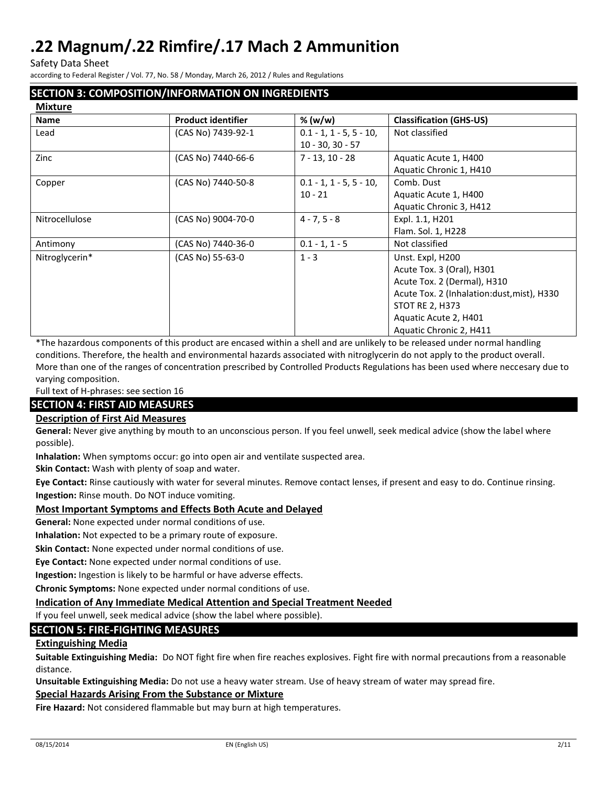Safety Data Sheet

according to Federal Register / Vol. 77, No. 58 / Monday, March 26, 2012 / Rules and Regulations

## **SECTION 3: COMPOSITION/INFORMATION ON INGREDIENTS**

| <b>Mixture</b> |                           |                           |                                             |
|----------------|---------------------------|---------------------------|---------------------------------------------|
| <b>Name</b>    | <b>Product identifier</b> | % (w/w)                   | <b>Classification (GHS-US)</b>              |
| Lead           | (CAS No) 7439-92-1        | $0.1 - 1, 1 - 5, 5 - 10,$ | Not classified                              |
|                |                           | $10 - 30, 30 - 57$        |                                             |
| Zinc           | (CAS No) 7440-66-6        | $7 - 13, 10 - 28$         | Aquatic Acute 1, H400                       |
|                |                           |                           | Aquatic Chronic 1, H410                     |
| Copper         | (CAS No) 7440-50-8        | $0.1 - 1, 1 - 5, 5 - 10,$ | Comb. Dust                                  |
|                |                           | $10 - 21$                 | Aquatic Acute 1, H400                       |
|                |                           |                           | Aquatic Chronic 3, H412                     |
| Nitrocellulose | (CAS No) 9004-70-0        | $4 - 7, 5 - 8$            | Expl. 1.1, H201                             |
|                |                           |                           | Flam. Sol. 1, H228                          |
| Antimony       | (CAS No) 7440-36-0        | $0.1 - 1, 1 - 5$          | Not classified                              |
| Nitroglycerin* | (CAS No) 55-63-0          | $1 - 3$                   | Unst. Expl, H200                            |
|                |                           |                           | Acute Tox. 3 (Oral), H301                   |
|                |                           |                           | Acute Tox. 2 (Dermal), H310                 |
|                |                           |                           | Acute Tox. 2 (Inhalation: dust, mist), H330 |
|                |                           |                           | <b>STOT RE 2, H373</b>                      |
|                |                           |                           | Aquatic Acute 2, H401                       |
|                |                           |                           | Aquatic Chronic 2, H411                     |

\*The hazardous components of this product are encased within a shell and are unlikely to be released under normal handling conditions. Therefore, the health and environmental hazards associated with nitroglycerin do not apply to the product overall. More than one of the ranges of concentration prescribed by Controlled Products Regulations has been used where neccesary due to varying composition.

Full text of H-phrases: see section 16

## **SECTION 4: FIRST AID MEASURES**

## **Description of First Aid Measures**

**General:** Never give anything by mouth to an unconscious person. If you feel unwell, seek medical advice (show the label where possible).

**Inhalation:** When symptoms occur: go into open air and ventilate suspected area.

**Skin Contact:** Wash with plenty of soap and water.

**Eye Contact:** Rinse cautiously with water for several minutes. Remove contact lenses, if present and easy to do. Continue rinsing. **Ingestion:** Rinse mouth. Do NOT induce vomiting.

## **Most Important Symptoms and Effects Both Acute and Delayed**

**General:** None expected under normal conditions of use.

**Inhalation:** Not expected to be a primary route of exposure.

**Skin Contact:** None expected under normal conditions of use.

**Eye Contact:** None expected under normal conditions of use.

**Ingestion:** Ingestion is likely to be harmful or have adverse effects.

**Chronic Symptoms:** None expected under normal conditions of use.

### **Indication of Any Immediate Medical Attention and Special Treatment Needed**

If you feel unwell, seek medical advice (show the label where possible).

## **SECTION 5: FIRE-FIGHTING MEASURES**

#### **Extinguishing Media**

**Suitable Extinguishing Media:** Do NOT fight fire when fire reaches explosives. Fight fire with normal precautions from a reasonable distance.

**Unsuitable Extinguishing Media:** Do not use a heavy water stream. Use of heavy stream of water may spread fire.

#### **Special Hazards Arising From the Substance or Mixture**

**Fire Hazard:** Not considered flammable but may burn at high temperatures.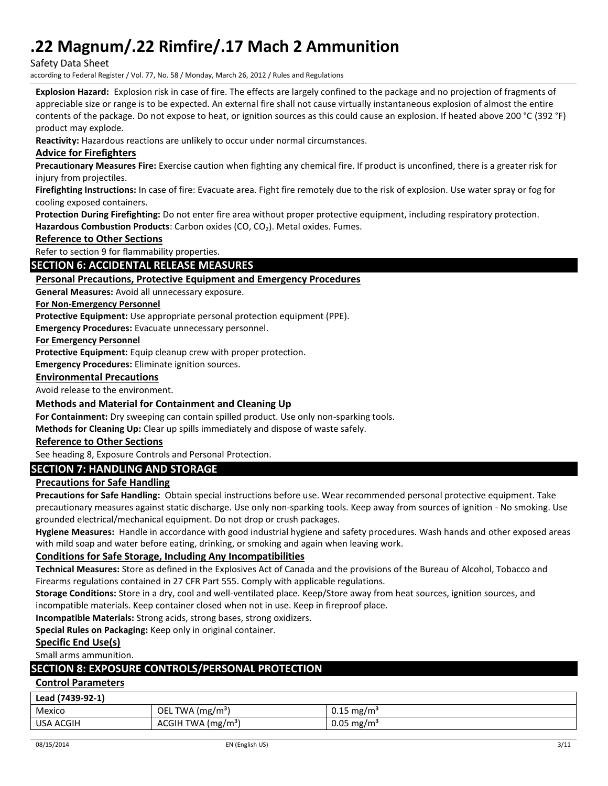Safety Data Sheet

according to Federal Register / Vol. 77, No. 58 / Monday, March 26, 2012 / Rules and Regulations

**Explosion Hazard:** Explosion risk in case of fire. The effects are largely confined to the package and no projection of fragments of appreciable size or range is to be expected. An external fire shall not cause virtually instantaneous explosion of almost the entire contents of the package. Do not expose to heat, or ignition sources as this could cause an explosion. If heated above 200 °C (392 °F) product may explode.

**Reactivity:** Hazardous reactions are unlikely to occur under normal circumstances.

## **Advice for Firefighters**

**Precautionary Measures Fire:** Exercise caution when fighting any chemical fire. If product is unconfined, there is a greater risk for injury from projectiles.

**Firefighting Instructions:** In case of fire: Evacuate area. Fight fire remotely due to the risk of explosion. Use water spray or fog for cooling exposed containers.

**Protection During Firefighting:** Do not enter fire area without proper protective equipment, including respiratory protection.

Hazardous Combustion Products: Carbon oxides (CO, CO<sub>2</sub>). Metal oxides. Fumes.

#### **Reference to Other Sections**

Refer to section 9 for flammability properties.

## **SECTION 6: ACCIDENTAL RELEASE MEASURES**

## **Personal Precautions, Protective Equipment and Emergency Procedures**

**General Measures:** Avoid all unnecessary exposure.

### **For Non-Emergency Personnel**

**Protective Equipment:** Use appropriate personal protection equipment (PPE).

**Emergency Procedures:** Evacuate unnecessary personnel.

**For Emergency Personnel**

**Protective Equipment:** Equip cleanup crew with proper protection.

**Emergency Procedures:** Eliminate ignition sources.

### **Environmental Precautions**

Avoid release to the environment.

## **Methods and Material for Containment and Cleaning Up**

**For Containment:** Dry sweeping can contain spilled product. Use only non-sparking tools.

**Methods for Cleaning Up:** Clear up spills immediately and dispose of waste safely.

### **Reference to Other Sections**

See heading 8, Exposure Controls and Personal Protection.

## **SECTION 7: HANDLING AND STORAGE**

## **Precautions for Safe Handling**

**Precautions for Safe Handling:** Obtain special instructions before use. Wear recommended personal protective equipment. Take precautionary measures against static discharge. Use only non-sparking tools. Keep away from sources of ignition - No smoking. Use grounded electrical/mechanical equipment. Do not drop or crush packages.

**Hygiene Measures:** Handle in accordance with good industrial hygiene and safety procedures. Wash hands and other exposed areas with mild soap and water before eating, drinking, or smoking and again when leaving work.

## **Conditions for Safe Storage, Including Any Incompatibilities**

**Technical Measures:** Store as defined in the Explosives Act of Canada and the provisions of the Bureau of Alcohol, Tobacco and Firearms regulations contained in 27 CFR Part 555. Comply with applicable regulations.

**Storage Conditions:** Store in a dry, cool and well-ventilated place. Keep/Store away from heat sources, ignition sources, and incompatible materials. Keep container closed when not in use. Keep in fireproof place.

**Incompatible Materials:** Strong acids, strong bases, strong oxidizers.

**Special Rules on Packaging:** Keep only in original container.

#### **Specific End Use(s)**

Small arms ammunition.

## **SECTION 8: EXPOSURE CONTROLS/PERSONAL PROTECTION**

## **Control Parameters**

### **Lead (7439-92-1)**

| $-2000$ , $-1000$  |                                             |                          |
|--------------------|---------------------------------------------|--------------------------|
| Mexico             | OEL.<br><b>TWA</b><br>(mg/m <sup>3</sup> )  | $0.15 \,\mathrm{mg/m^3}$ |
| USA<br>HID.<br>AU. | ACGIH<br>√(mg/m <sup>3</sup> ′<br><b>WA</b> | $0.05 \,\mathrm{mg/m^3}$ |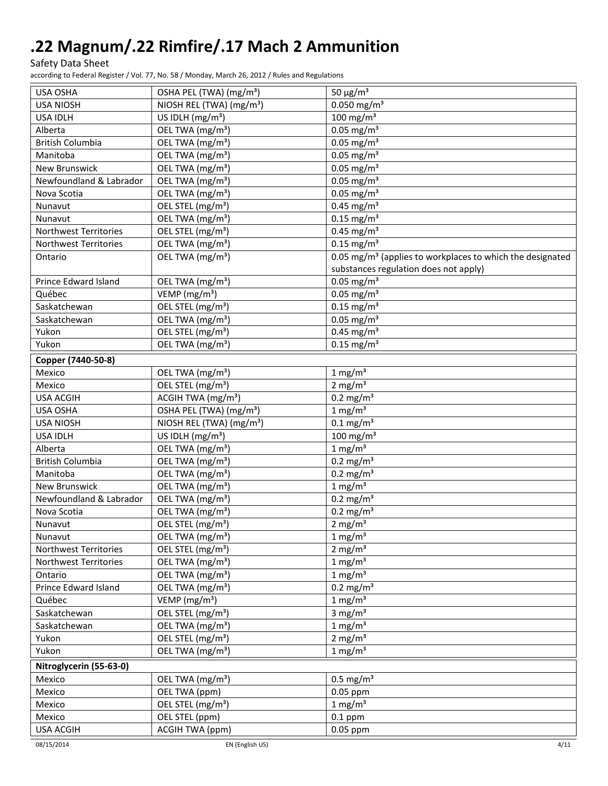Safety Data Sheet

according to Federal Register / Vol. 77, No. 58 / Monday, March 26, 2012 / Rules and Regulations

| USA OSHA                | OSHA PEL (TWA) (mg/m <sup>3</sup> )  | 50 $\mu$ g/m <sup>3</sup>                                             |
|-------------------------|--------------------------------------|-----------------------------------------------------------------------|
| <b>USA NIOSH</b>        | NIOSH REL (TWA) (mg/m <sup>3</sup> ) | $0.050$ mg/m <sup>3</sup>                                             |
| <b>USA IDLH</b>         | US IDLH $(mg/m3)$                    | $100$ mg/m <sup>3</sup>                                               |
| Alberta                 | OEL TWA (mg/m <sup>3</sup> )         | $0.05$ mg/m <sup>3</sup>                                              |
| <b>British Columbia</b> | OEL TWA (mg/m <sup>3</sup> )         | $0.05$ mg/m <sup>3</sup>                                              |
| Manitoba                | OEL TWA (mg/m <sup>3</sup> )         | $0.05$ mg/m <sup>3</sup>                                              |
| <b>New Brunswick</b>    | OEL TWA (mg/m <sup>3</sup> )         | $0.05$ mg/m <sup>3</sup>                                              |
| Newfoundland & Labrador | OEL TWA (mg/m <sup>3</sup> )         | $0.05$ mg/m <sup>3</sup>                                              |
| Nova Scotia             | OEL TWA (mg/m <sup>3</sup> )         | $0.05$ mg/m <sup>3</sup>                                              |
| Nunavut                 | OEL STEL (mg/m <sup>3</sup> )        | $0.45$ mg/m <sup>3</sup>                                              |
| Nunavut                 | OEL TWA (mg/m <sup>3</sup> )         | $0.15$ mg/m <sup>3</sup>                                              |
| Northwest Territories   | OEL STEL (mg/m <sup>3</sup> )        | $0.45$ mg/m <sup>3</sup>                                              |
| Northwest Territories   | OEL TWA (mg/m <sup>3</sup> )         | $0.15$ mg/m <sup>3</sup>                                              |
| Ontario                 | OEL TWA (mg/m <sup>3</sup> )         | 0.05 mg/m <sup>3</sup> (applies to workplaces to which the designated |
|                         |                                      | substances regulation does not apply)                                 |
| Prince Edward Island    | OEL TWA (mg/m <sup>3</sup> )         | $0.05$ mg/m <sup>3</sup>                                              |
| Québec                  | VEMP (mg/m <sup>3</sup> )            | $0.05$ mg/m <sup>3</sup>                                              |
| Saskatchewan            | OEL STEL (mg/m <sup>3</sup> )        | $0.15$ mg/m <sup>3</sup>                                              |
| Saskatchewan            | OEL TWA (mg/m <sup>3</sup> )         | $0.05$ mg/m <sup>3</sup>                                              |
| Yukon                   | OEL STEL (mg/m <sup>3</sup> )        | $0.45$ mg/m <sup>3</sup>                                              |
| Yukon                   | OEL TWA (mg/m <sup>3</sup> )         | $0.15$ mg/m <sup>3</sup>                                              |
| Copper (7440-50-8)      |                                      |                                                                       |
| Mexico                  | OEL TWA (mg/m <sup>3</sup> )         | $1 \text{ mg/m}^3$                                                    |
| Mexico                  | OEL STEL (mg/m <sup>3</sup> )        | 2 mg/ $m3$                                                            |
| <b>USA ACGIH</b>        | ACGIH TWA (mg/m <sup>3</sup> )       | $0.2 \text{ mg/m}^3$                                                  |
| USA OSHA                | OSHA PEL (TWA) (mg/m <sup>3</sup> )  | 1 mg/m <sup>3</sup>                                                   |
| <b>USA NIOSH</b>        | NIOSH REL (TWA) (mg/m <sup>3</sup> ) | $0.1 \text{ mg/m}^3$                                                  |
| <b>USA IDLH</b>         | US IDLH (mg/m <sup>3</sup> )         | 100 mg/m $3$                                                          |
| Alberta                 | OEL TWA (mg/m <sup>3</sup> )         | $1 \text{ mg/m}^3$                                                    |
| <b>British Columbia</b> | OEL TWA (mg/m <sup>3</sup> )         | $0.2 \text{ mg/m}^3$                                                  |
| Manitoba                | OEL TWA (mg/m <sup>3</sup> )         | $0.2$ mg/m <sup>3</sup>                                               |
| <b>New Brunswick</b>    | OEL TWA (mg/m <sup>3</sup> )         | $1$ mg/m <sup>3</sup>                                                 |
| Newfoundland & Labrador | OEL TWA (mg/m <sup>3</sup> )         | $0.2 \text{ mg/m}^3$                                                  |
| Nova Scotia             | OEL TWA (mg/m <sup>3</sup> )         | $0.2 \text{ mg/m}^3$                                                  |
| Nunavut                 | OEL STEL (mg/m <sup>3</sup> )        | $2 \text{ mg/m}^3$                                                    |
| Nunavut                 | OEL TWA (mg/m <sup>3</sup> )         | $1 \text{ mg/m}^3$                                                    |
| Northwest Territories   | OEL STEL (mg/m <sup>3</sup> )        | 2 mg/ $m3$                                                            |
| Northwest Territories   | OEL TWA (mg/m <sup>3</sup> )         | $1 \text{ mg/m}^3$                                                    |
| Ontario                 | OEL TWA (mg/m <sup>3</sup> )         | $1 \text{ mg/m}^3$                                                    |
| Prince Edward Island    | OEL TWA (mg/m <sup>3</sup> )         | $0.2 \text{ mg/m}^3$                                                  |
| Québec                  | VEMP ( $mg/m3$ )                     | $1 \text{ mg/m}^3$                                                    |
| Saskatchewan            | OEL STEL (mg/m <sup>3</sup> )        | 3 mg/ $m3$                                                            |
| Saskatchewan            | OEL TWA (mg/m <sup>3</sup> )         | $1 \text{ mg/m}^3$                                                    |
| Yukon                   | OEL STEL (mg/m <sup>3</sup> )        | 2 mg/m $\overline{3}$                                                 |
| Yukon                   | OEL TWA (mg/m <sup>3</sup> )         | $1 \text{ mg/m}^3$                                                    |
|                         |                                      |                                                                       |
| Nitroglycerin (55-63-0) | OEL TWA (mg/m <sup>3</sup> )         |                                                                       |
| Mexico                  | OEL TWA (ppm)                        | $0.5 \text{ mg/m}^3$<br>$0.05$ ppm                                    |
| Mexico                  |                                      |                                                                       |
| Mexico                  | OEL STEL (mg/m <sup>3</sup> )        | $1 \text{ mg/m}^3$                                                    |
| Mexico                  | OEL STEL (ppm)                       | $0.1$ ppm                                                             |
| <b>USA ACGIH</b>        | ACGIH TWA (ppm)                      | 0.05 ppm                                                              |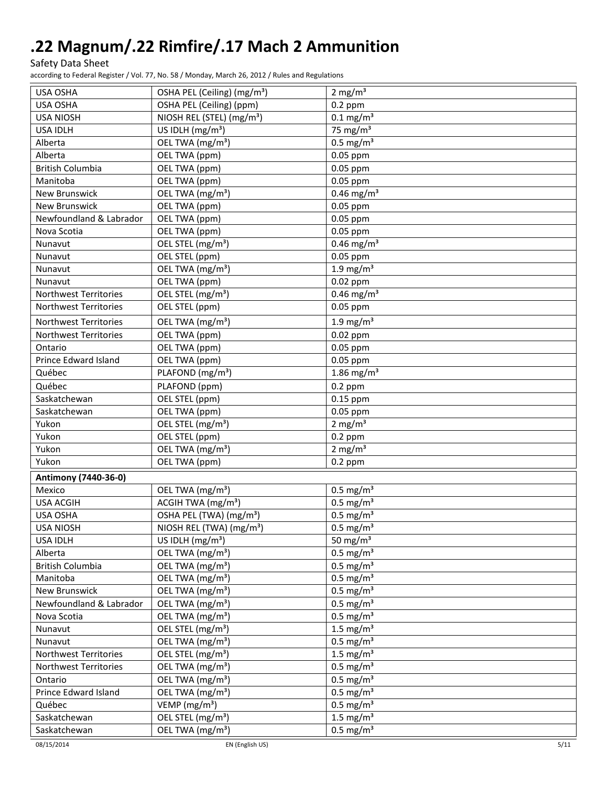Safety Data Sheet

according to Federal Register / Vol. 77, No. 58 / Monday, March 26, 2012 / Rules and Regulations

| USA OSHA                     | OSHA PEL (Ceiling) (mg/m <sup>3</sup> ) | $2 \text{ mg/m}^3$       |
|------------------------------|-----------------------------------------|--------------------------|
| <b>USA OSHA</b>              | OSHA PEL (Ceiling) (ppm)                | $0.2$ ppm                |
| <b>USA NIOSH</b>             | NIOSH REL (STEL) (mg/m <sup>3</sup> )   | $0.1$ mg/m <sup>3</sup>  |
| <b>USA IDLH</b>              | US IDLH (mg/m <sup>3</sup> )            | 75 mg/ $m3$              |
| Alberta                      | OEL TWA (mg/m <sup>3</sup> )            | $0.5$ mg/m <sup>3</sup>  |
| Alberta                      | OEL TWA (ppm)                           | 0.05 ppm                 |
| <b>British Columbia</b>      | OEL TWA (ppm)                           | 0.05 ppm                 |
| Manitoba                     | OEL TWA (ppm)                           | 0.05 ppm                 |
| New Brunswick                | OEL TWA (mg/m <sup>3</sup> )            | $0.46$ mg/m <sup>3</sup> |
| New Brunswick                | OEL TWA (ppm)                           | 0.05 ppm                 |
| Newfoundland & Labrador      | OEL TWA (ppm)                           | 0.05 ppm                 |
| Nova Scotia                  | OEL TWA (ppm)                           | 0.05 ppm                 |
| Nunavut                      | OEL STEL (mg/m <sup>3</sup> )           | $0.46$ mg/m <sup>3</sup> |
| Nunavut                      | OEL STEL (ppm)                          | 0.05 ppm                 |
| Nunavut                      | OEL TWA (mg/m <sup>3</sup> )            | $1.9$ mg/m <sup>3</sup>  |
| Nunavut                      | OEL TWA (ppm)                           | $0.02$ ppm               |
| Northwest Territories        | OEL STEL (mg/m <sup>3</sup> )           | $0.46$ mg/m <sup>3</sup> |
| <b>Northwest Territories</b> | OEL STEL (ppm)                          | 0.05 ppm                 |
| Northwest Territories        | OEL TWA (mg/m <sup>3</sup> )            | $1.9$ mg/m <sup>3</sup>  |
| Northwest Territories        | OEL TWA (ppm)                           | $0.02$ ppm               |
| Ontario                      | OEL TWA (ppm)                           | 0.05 ppm                 |
| <b>Prince Edward Island</b>  | OEL TWA (ppm)                           | 0.05 ppm                 |
| Québec                       | PLAFOND (mg/m <sup>3</sup> )            | $1.86$ mg/m <sup>3</sup> |
| Québec                       | PLAFOND (ppm)                           | $0.2$ ppm                |
| Saskatchewan                 | OEL STEL (ppm)                          | $0.15$ ppm               |
| Saskatchewan                 | OEL TWA (ppm)                           | 0.05 ppm                 |
| Yukon                        | OEL STEL (mg/m <sup>3</sup> )           | 2 mg/ $m3$               |
| Yukon                        | OEL STEL (ppm)                          | $0.2$ ppm                |
| Yukon                        | OEL TWA (mg/m <sup>3</sup> )            | 2 mg/ $m3$               |
| Yukon                        | OEL TWA (ppm)                           | $0.2$ ppm                |
| Antimony (7440-36-0)         |                                         |                          |
| Mexico                       | OEL TWA (mg/m <sup>3</sup> )            | $0.5$ mg/m <sup>3</sup>  |
| <b>USA ACGIH</b>             | ACGIH TWA (mg/m <sup>3</sup> )          | $0.5$ mg/m <sup>3</sup>  |
| USA OSHA                     | OSHA PEL (TWA) (mg/m <sup>3</sup> )     | $0.5$ mg/m <sup>3</sup>  |
| <b>USA NIOSH</b>             | NIOSH REL (TWA) (mg/m <sup>3</sup> )    | $0.5 \text{ mg/m}^3$     |
| USA IDLH                     | US IDLH $(mg/m3)$                       | 50 mg/m $3$              |
| Alberta                      | OEL TWA (mg/m <sup>3</sup> )            | $0.5$ mg/m <sup>3</sup>  |
| <b>British Columbia</b>      | OEL TWA (mg/m <sup>3</sup> )            | $0.5$ mg/m <sup>3</sup>  |
| Manitoba                     | OEL TWA (mg/m <sup>3</sup> )            | $0.5$ mg/m <sup>3</sup>  |
| New Brunswick                | OEL TWA (mg/m <sup>3</sup> )            | $0.5$ mg/m <sup>3</sup>  |
| Newfoundland & Labrador      | OEL TWA (mg/m <sup>3</sup> )            | $0.5$ mg/m <sup>3</sup>  |
| Nova Scotia                  | OEL TWA (mg/m <sup>3</sup> )            | $0.5$ mg/m <sup>3</sup>  |
| Nunavut                      | OEL STEL (mg/m <sup>3</sup> )           | 1.5 mg/ $m3$             |
| Nunavut                      | OEL TWA (mg/m <sup>3</sup> )            | $0.5$ mg/m <sup>3</sup>  |
| Northwest Territories        | OEL STEL (mg/m <sup>3</sup> )           | 1.5 mg/ $m3$             |
| Northwest Territories        | OEL TWA (mg/m <sup>3</sup> )            | $0.5$ mg/m <sup>3</sup>  |
| Ontario                      | OEL TWA (mg/m <sup>3</sup> )            | $0.5$ mg/m <sup>3</sup>  |
| Prince Edward Island         | OEL TWA (mg/m <sup>3</sup> )            | $0.5$ mg/m <sup>3</sup>  |
| Québec                       | VEMP (mg/m <sup>3</sup> )               | $0.5$ mg/m <sup>3</sup>  |
| Saskatchewan                 | OEL STEL (mg/m <sup>3</sup> )           | 1.5 mg/ $m3$             |
| Saskatchewan                 | OEL TWA (mg/m <sup>3</sup> )            | $0.5 \text{ mg/m}^3$     |
| 08/15/2014                   | EN (English US)                         | 5/11                     |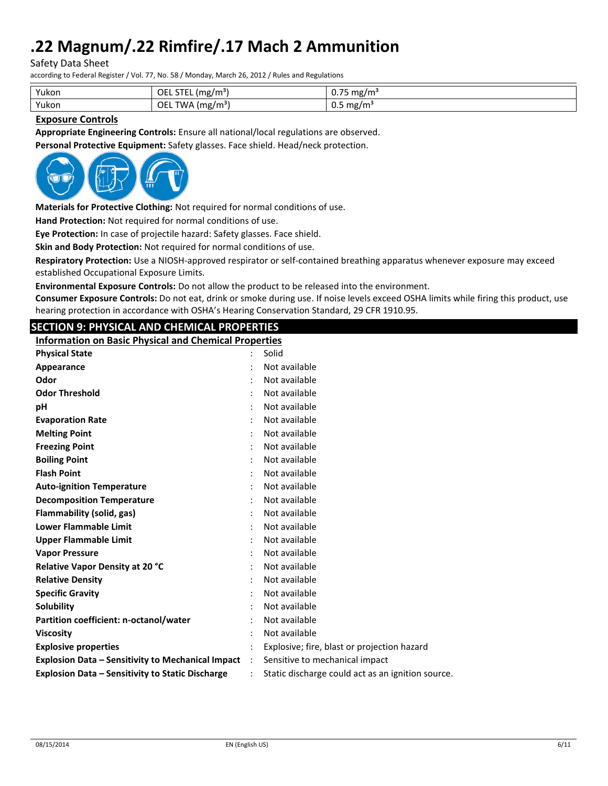Safety Data Sheet

according to Federal Register / Vol. 77, No. 58 / Monday, March 26, 2012 / Rules and Regulations

| Yukon | <b>OEL STEL</b><br>(mg/m <sup>3</sup>     | $- -$<br>mg/m <sup>3</sup><br><u>v. J J</u> |
|-------|-------------------------------------------|---------------------------------------------|
| Yukon | OEL<br><b>TWA</b><br>A (mg/m <sup>s</sup> | $0.5 \text{ mg/m}^3$                        |

## **Exposure Controls**

**Appropriate Engineering Controls:** Ensure all national/local regulations are observed.

**Personal Protective Equipment:** Safety glasses. Face shield. Head/neck protection.



**Materials for Protective Clothing:** Not required for normal conditions of use.

**Hand Protection:** Not required for normal conditions of use.

**Eye Protection:** In case of projectile hazard: Safety glasses. Face shield.

**Skin and Body Protection:** Not required for normal conditions of use.

**Respiratory Protection:** Use a NIOSH-approved respirator or self-contained breathing apparatus whenever exposure may exceed established Occupational Exposure Limits.

**Environmental Exposure Controls:** Do not allow the product to be released into the environment.

**Consumer Exposure Controls:** Do not eat, drink or smoke during use. If noise levels exceed OSHA limits while firing this product, use hearing protection in accordance with OSHA's Hearing Conservation Standard, 29 CFR 1910.95.

## **SECTION 9: PHYSICAL AND CHEMICAL PROPERTIES**

**Information on Basic Physical and Chemical Properties**

| <b>Physical State</b>       |                                                          | $\ddot{\cdot}$       | Solid                                             |
|-----------------------------|----------------------------------------------------------|----------------------|---------------------------------------------------|
| Appearance                  |                                                          |                      | Not available                                     |
| Odor                        |                                                          |                      | Not available                                     |
| <b>Odor Threshold</b>       |                                                          |                      | Not available                                     |
| рH                          |                                                          |                      | Not available                                     |
| <b>Evaporation Rate</b>     |                                                          |                      | Not available                                     |
| <b>Melting Point</b>        |                                                          |                      | Not available                                     |
| <b>Freezing Point</b>       |                                                          |                      | Not available                                     |
| <b>Boiling Point</b>        |                                                          |                      | Not available                                     |
| <b>Flash Point</b>          |                                                          |                      | Not available                                     |
|                             | <b>Auto-ignition Temperature</b>                         |                      | Not available                                     |
|                             | <b>Decomposition Temperature</b>                         |                      | Not available                                     |
|                             | Flammability (solid, gas)                                |                      | Not available                                     |
|                             | <b>Lower Flammable Limit</b>                             |                      | Not available                                     |
|                             | <b>Upper Flammable Limit</b>                             |                      | Not available                                     |
| <b>Vapor Pressure</b>       |                                                          |                      | Not available                                     |
|                             | <b>Relative Vapor Density at 20 °C</b>                   |                      | Not available                                     |
| <b>Relative Density</b>     |                                                          |                      | Not available                                     |
| <b>Specific Gravity</b>     |                                                          |                      | Not available                                     |
| Solubility                  |                                                          |                      | Not available                                     |
|                             | Partition coefficient: n-octanol/water                   |                      | Not available                                     |
| <b>Viscosity</b>            |                                                          |                      | Not available                                     |
| <b>Explosive properties</b> |                                                          |                      | Explosive; fire, blast or projection hazard       |
|                             | <b>Explosion Data - Sensitivity to Mechanical Impact</b> | $\ddot{\phantom{a}}$ | Sensitive to mechanical impact                    |
|                             | <b>Explosion Data - Sensitivity to Static Discharge</b>  |                      | Static discharge could act as an ignition source. |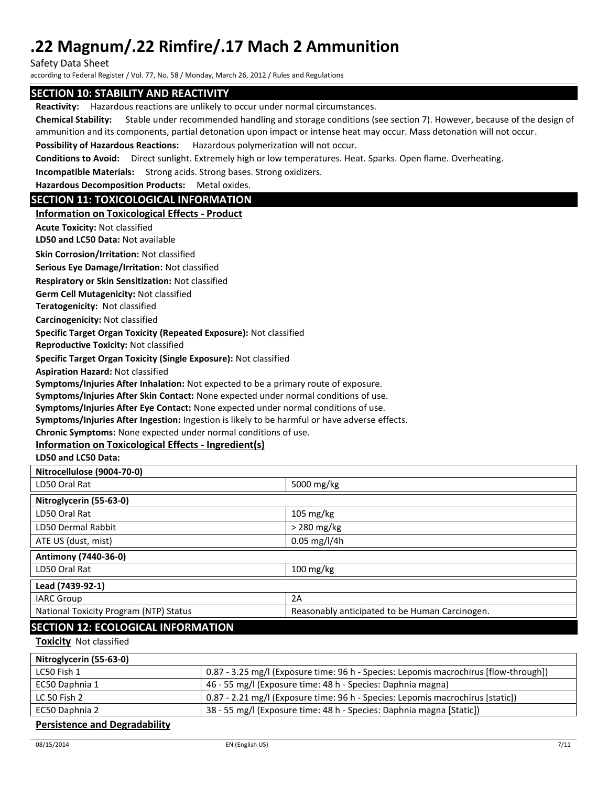Safety Data Sheet

according to Federal Register / Vol. 77, No. 58 / Monday, March 26, 2012 / Rules and Regulations

## **SECTION 10: STABILITY AND REACTIVITY**

**Reactivity:** Hazardous reactions are unlikely to occur under normal circumstances.

**Chemical Stability:** Stable under recommended handling and storage conditions (see section 7). However, because of the design of ammunition and its components, partial detonation upon impact or intense heat may occur. Mass detonation will not occur.

**Possibility of Hazardous Reactions:** Hazardous polymerization will not occur.

**Conditions to Avoid:** Direct sunlight. Extremely high or low temperatures. Heat. Sparks. Open flame. Overheating.

**Incompatible Materials:** Strong acids. Strong bases. Strong oxidizers.

**Hazardous Decomposition Products:** Metal oxides.

## **SECTION 11: TOXICOLOGICAL INFORMATION**

## **Information on Toxicological Effects - Product**

**Acute Toxicity:** Not classified

**LD50 and LC50 Data:** Not available

**Skin Corrosion/Irritation:** Not classified

**Serious Eye Damage/Irritation:** Not classified

**Respiratory or Skin Sensitization:** Not classified

**Germ Cell Mutagenicity:** Not classified

**Teratogenicity:** Not classified

**Carcinogenicity:** Not classified

**Specific Target Organ Toxicity (Repeated Exposure):** Not classified

**Reproductive Toxicity:** Not classified

**Specific Target Organ Toxicity (Single Exposure):** Not classified

**Aspiration Hazard:** Not classified

**Symptoms/Injuries After Inhalation:** Not expected to be a primary route of exposure.

**Symptoms/Injuries After Skin Contact:** None expected under normal conditions of use.

**Symptoms/Injuries After Eye Contact:** None expected under normal conditions of use.

**Symptoms/Injuries After Ingestion:** Ingestion is likely to be harmful or have adverse effects.

**Chronic Symptoms:** None expected under normal conditions of use.

## **Information on Toxicological Effects - Ingredient(s)**

**LD50 and LC50 Data:**

| Nitrocellulose (9004-70-0)             |                                                |  |
|----------------------------------------|------------------------------------------------|--|
| LD50 Oral Rat                          | 5000 mg/kg                                     |  |
| Nitroglycerin (55-63-0)                |                                                |  |
| LD50 Oral Rat                          | $105 \text{ mg/kg}$                            |  |
| LD50 Dermal Rabbit                     | $>$ 280 mg/kg                                  |  |
| ATE US (dust, mist)                    | $0.05$ mg/l/4h                                 |  |
| Antimony (7440-36-0)                   |                                                |  |
| LD50 Oral Rat                          | $100$ mg/kg                                    |  |
| Lead (7439-92-1)                       |                                                |  |
| <b>IARC Group</b>                      | 2A                                             |  |
| National Toxicity Program (NTP) Status | Reasonably anticipated to be Human Carcinogen. |  |
| SECTION 12: ECOLOGICAL INFORMATION     |                                                |  |

## AL INFORM**I**

**Toxicity** Not classified

| Nitroglycerin (55-63-0)              |                                                                                      |
|--------------------------------------|--------------------------------------------------------------------------------------|
| LC50 Fish 1                          | 0.87 - 3.25 mg/l (Exposure time: 96 h - Species: Lepomis macrochirus [flow-through]) |
| EC50 Daphnia 1                       | 46 - 55 mg/l (Exposure time: 48 h - Species: Daphnia magna)                          |
| LC 50 Fish 2                         | 0.87 - 2.21 mg/l (Exposure time: 96 h - Species: Lepomis macrochirus [static])       |
| EC50 Daphnia 2                       | 38 - 55 mg/l (Exposure time: 48 h - Species: Daphnia magna [Static])                 |
| <b>Persistence and Degradability</b> |                                                                                      |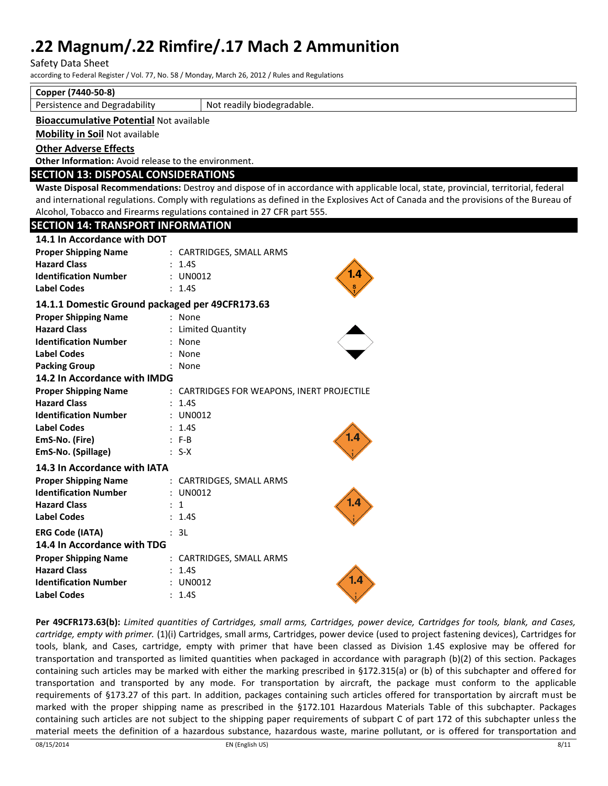Safety Data Sheet

according to Federal Register / Vol. 77, No. 58 / Monday, March 26, 2012 / Rules and Regulations

**Copper (7440-50-8)**

Persistence and Degradability | Not readily biodegradable.

### **Bioaccumulative Potential** Not available

**Mobility in Soil** Not available

**Other Adverse Effects**

**Other Information:** Avoid release to the environment.

## **SECTION 13: DISPOSAL CONSIDERATIONS**

**Waste Disposal Recommendations:** Destroy and dispose of in accordance with applicable local, state, provincial, territorial, federal and international regulations. Comply with regulations as defined in the Explosives Act of Canada and the provisions of the Bureau of Alcohol, Tobacco and Firearms regulations contained in 27 CFR part 555.

| <b>SECTION 14: TRANSPORT INFORMATION</b>        |
|-------------------------------------------------|
|                                                 |
| : CARTRIDGES, SMALL ARMS                        |
| 1.45                                            |
| 1.4<br>: UN0012                                 |
| 1.4S                                            |
| 14.1.1 Domestic Ground packaged per 49CFR173.63 |
| : None                                          |
| <b>Limited Quantity</b>                         |
| None                                            |
| None                                            |
| None                                            |
| 14.2 In Accordance with IMDG                    |
| : CARTRIDGES FOR WEAPONS, INERT PROJECTILE      |
| : 1.45                                          |
| : UN0012                                        |
| 1.4S                                            |
| $: F-B$                                         |
| $: S-X$                                         |
|                                                 |
| : CARTRIDGES, SMALL ARMS                        |
| UN0012                                          |
| $\mathbf{1}$                                    |
| 1.4S                                            |
| : 3L                                            |
|                                                 |
| : CARTRIDGES, SMALL ARMS                        |
| 1.4S                                            |
| 1.4<br>: UN0012                                 |
| 1.4S                                            |
|                                                 |

**Per 49CFR173.63(b):** *Limited quantities of Cartridges, small arms, Cartridges, power device, Cartridges for tools, blank, and Cases, cartridge, empty with primer.* (1)(i) Cartridges, small arms, Cartridges, power device (used to project fastening devices), Cartridges for tools, blank, and Cases, cartridge, empty with primer that have been classed as Division 1.4S explosive may be offered for transportation and transported as limited quantities when packaged in accordance with paragraph (b)(2) of this section. Packages containing such articles may be marked with either the marking prescribed in §172.315(a) or (b) of this subchapter and offered for transportation and transported by any mode. For transportation by aircraft, the package must conform to the applicable requirements of §173.27 of this part. In addition, packages containing such articles offered for transportation by aircraft must be marked with the proper shipping name as prescribed in the §172.101 Hazardous Materials Table of this subchapter. Packages containing such articles are not subject to the shipping paper requirements of subpart C of part 172 of this subchapter unless the material meets the definition of a hazardous substance, hazardous waste, marine pollutant, or is offered for transportation and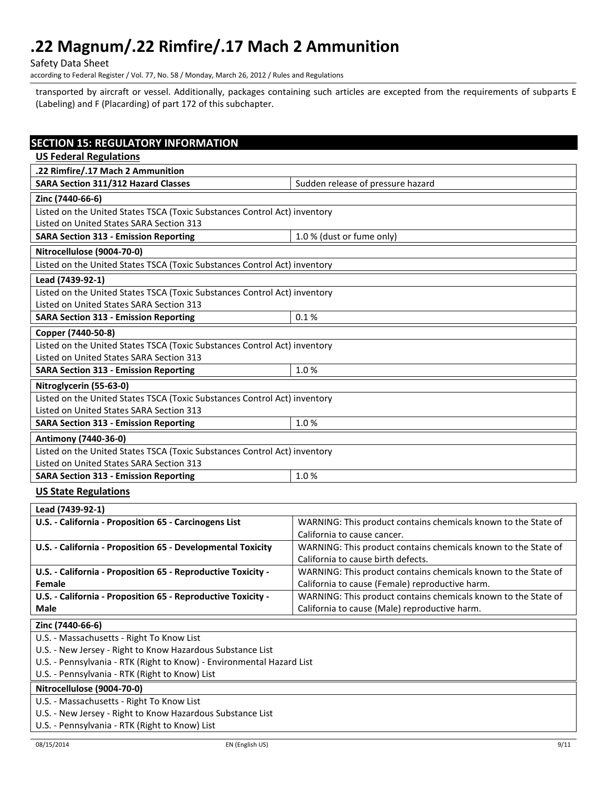Safety Data Sheet

according to Federal Register / Vol. 77, No. 58 / Monday, March 26, 2012 / Rules and Regulations

transported by aircraft or vessel. Additionally, packages containing such articles are excepted from the requirements of subparts E (Labeling) and F (Placarding) of part 172 of this subchapter.

| <b>SECTION 15: REGULATORY INFORMATION</b>                                                                                           |                                                                                                                 |  |
|-------------------------------------------------------------------------------------------------------------------------------------|-----------------------------------------------------------------------------------------------------------------|--|
| <b>US Federal Regulations</b>                                                                                                       |                                                                                                                 |  |
| .22 Rimfire/.17 Mach 2 Ammunition                                                                                                   |                                                                                                                 |  |
| <b>SARA Section 311/312 Hazard Classes</b>                                                                                          | Sudden release of pressure hazard                                                                               |  |
| Zinc (7440-66-6)                                                                                                                    |                                                                                                                 |  |
| Listed on the United States TSCA (Toxic Substances Control Act) inventory                                                           |                                                                                                                 |  |
| Listed on United States SARA Section 313                                                                                            |                                                                                                                 |  |
| <b>SARA Section 313 - Emission Reporting</b>                                                                                        | 1.0 % (dust or fume only)                                                                                       |  |
| Nitrocellulose (9004-70-0)                                                                                                          |                                                                                                                 |  |
| Listed on the United States TSCA (Toxic Substances Control Act) inventory                                                           |                                                                                                                 |  |
| Lead (7439-92-1)                                                                                                                    |                                                                                                                 |  |
| Listed on the United States TSCA (Toxic Substances Control Act) inventory                                                           |                                                                                                                 |  |
| Listed on United States SARA Section 313                                                                                            |                                                                                                                 |  |
| <b>SARA Section 313 - Emission Reporting</b>                                                                                        | 0.1%                                                                                                            |  |
| Copper (7440-50-8)                                                                                                                  |                                                                                                                 |  |
| Listed on the United States TSCA (Toxic Substances Control Act) inventory                                                           |                                                                                                                 |  |
| Listed on United States SARA Section 313                                                                                            |                                                                                                                 |  |
| <b>SARA Section 313 - Emission Reporting</b>                                                                                        | 1.0%                                                                                                            |  |
| Nitroglycerin (55-63-0)                                                                                                             |                                                                                                                 |  |
| Listed on the United States TSCA (Toxic Substances Control Act) inventory                                                           |                                                                                                                 |  |
| Listed on United States SARA Section 313                                                                                            |                                                                                                                 |  |
| <b>SARA Section 313 - Emission Reporting</b>                                                                                        | 1.0%                                                                                                            |  |
| Antimony (7440-36-0)                                                                                                                |                                                                                                                 |  |
| Listed on the United States TSCA (Toxic Substances Control Act) inventory                                                           |                                                                                                                 |  |
| Listed on United States SARA Section 313                                                                                            |                                                                                                                 |  |
| <b>SARA Section 313 - Emission Reporting</b>                                                                                        | 1.0%                                                                                                            |  |
| <b>US State Regulations</b>                                                                                                         |                                                                                                                 |  |
| Lead (7439-92-1)                                                                                                                    |                                                                                                                 |  |
| U.S. - California - Proposition 65 - Carcinogens List                                                                               | WARNING: This product contains chemicals known to the State of                                                  |  |
|                                                                                                                                     | California to cause cancer.                                                                                     |  |
| U.S. - California - Proposition 65 - Developmental Toxicity                                                                         | WARNING: This product contains chemicals known to the State of                                                  |  |
|                                                                                                                                     | California to cause birth defects.                                                                              |  |
| U.S. - California - Proposition 65 - Reproductive Toxicity -                                                                        | WARNING: This product contains chemicals known to the State of                                                  |  |
| Female                                                                                                                              | California to cause (Female) reproductive harm.                                                                 |  |
| U.S. - California - Proposition 65 - Reproductive Toxicity -<br>Male                                                                | WARNING: This product contains chemicals known to the State of<br>California to cause (Male) reproductive harm. |  |
|                                                                                                                                     |                                                                                                                 |  |
| Zinc (7440-66-6)                                                                                                                    |                                                                                                                 |  |
| U.S. - Massachusetts - Right To Know List                                                                                           |                                                                                                                 |  |
| U.S. - New Jersey - Right to Know Hazardous Substance List<br>U.S. - Pennsylvania - RTK (Right to Know) - Environmental Hazard List |                                                                                                                 |  |
| U.S. - Pennsylvania - RTK (Right to Know) List                                                                                      |                                                                                                                 |  |
| Nitrocellulose (9004-70-0)                                                                                                          |                                                                                                                 |  |
| U.S. - Massachusetts - Right To Know List                                                                                           |                                                                                                                 |  |
| U.S. - New Jersey - Right to Know Hazardous Substance List                                                                          |                                                                                                                 |  |
| U.S. - Pennsylvania - RTK (Right to Know) List                                                                                      |                                                                                                                 |  |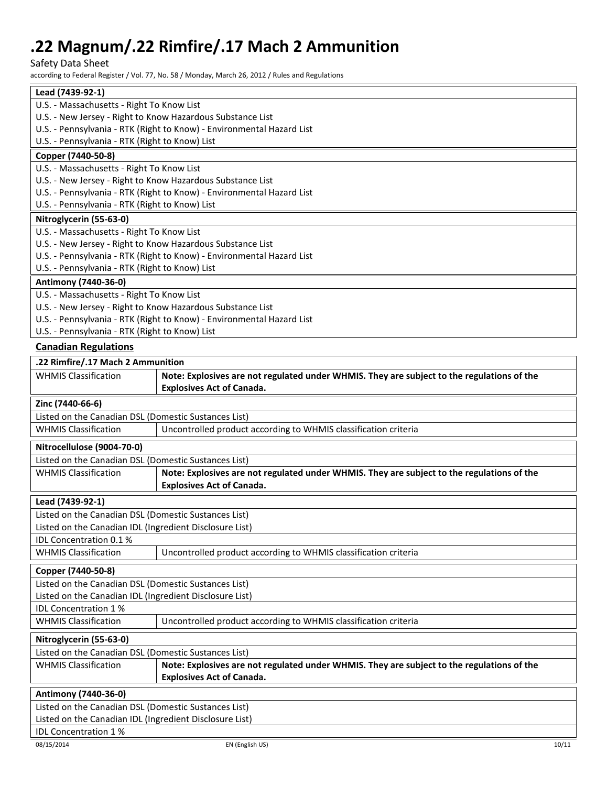Safety Data Sheet

according to Federal Register / Vol. 77, No. 58 / Monday, March 26, 2012 / Rules and Regulations

|                                                            | according to Federal Register / Vol. 77, No. 58 / Monday, March 26, 2012 / Rules and Regulations |  |
|------------------------------------------------------------|--------------------------------------------------------------------------------------------------|--|
| Lead (7439-92-1)                                           |                                                                                                  |  |
| U.S. - Massachusetts - Right To Know List                  |                                                                                                  |  |
| U.S. - New Jersey - Right to Know Hazardous Substance List |                                                                                                  |  |
|                                                            | U.S. - Pennsylvania - RTK (Right to Know) - Environmental Hazard List                            |  |
| U.S. - Pennsylvania - RTK (Right to Know) List             |                                                                                                  |  |
| Copper (7440-50-8)                                         |                                                                                                  |  |
| U.S. - Massachusetts - Right To Know List                  |                                                                                                  |  |
| U.S. - New Jersey - Right to Know Hazardous Substance List |                                                                                                  |  |
|                                                            | U.S. - Pennsylvania - RTK (Right to Know) - Environmental Hazard List                            |  |
| U.S. - Pennsylvania - RTK (Right to Know) List             |                                                                                                  |  |
| Nitroglycerin (55-63-0)                                    |                                                                                                  |  |
| U.S. - Massachusetts - Right To Know List                  |                                                                                                  |  |
| U.S. - New Jersey - Right to Know Hazardous Substance List |                                                                                                  |  |
|                                                            | U.S. - Pennsylvania - RTK (Right to Know) - Environmental Hazard List                            |  |
| U.S. - Pennsylvania - RTK (Right to Know) List             |                                                                                                  |  |
| Antimony (7440-36-0)                                       |                                                                                                  |  |
| U.S. - Massachusetts - Right To Know List                  |                                                                                                  |  |
| U.S. - New Jersey - Right to Know Hazardous Substance List |                                                                                                  |  |
|                                                            | U.S. - Pennsylvania - RTK (Right to Know) - Environmental Hazard List                            |  |
| U.S. - Pennsylvania - RTK (Right to Know) List             |                                                                                                  |  |
| <b>Canadian Regulations</b>                                |                                                                                                  |  |
| .22 Rimfire/.17 Mach 2 Ammunition                          |                                                                                                  |  |
| <b>WHMIS Classification</b>                                | Note: Explosives are not regulated under WHMIS. They are subject to the regulations of the       |  |
|                                                            | <b>Explosives Act of Canada.</b>                                                                 |  |
| Zinc (7440-66-6)                                           |                                                                                                  |  |
| Listed on the Canadian DSL (Domestic Sustances List)       |                                                                                                  |  |
| <b>WHMIS Classification</b>                                | Uncontrolled product according to WHMIS classification criteria                                  |  |
| Nitrocellulose (9004-70-0)                                 |                                                                                                  |  |
| Listed on the Canadian DSL (Domestic Sustances List)       |                                                                                                  |  |
| <b>WHMIS Classification</b>                                | Note: Explosives are not regulated under WHMIS. They are subject to the regulations of the       |  |
|                                                            | <b>Explosives Act of Canada.</b>                                                                 |  |
| Lead (7439-92-1)                                           |                                                                                                  |  |
| Listed on the Canadian DSL (Domestic Sustances List)       |                                                                                                  |  |
| Listed on the Canadian IDL (Ingredient Disclosure List)    |                                                                                                  |  |
| <b>IDL Concentration 0.1%</b>                              |                                                                                                  |  |
| <b>WHMIS Classification</b>                                | Uncontrolled product according to WHMIS classification criteria                                  |  |
| Copper (7440-50-8)                                         |                                                                                                  |  |
|                                                            |                                                                                                  |  |
| Listed on the Canadian DSL (Domestic Sustances List)       |                                                                                                  |  |

IDL Concentration 1 %

Listed on the Canadian IDL (Ingredient Disclosure List)

WHMIS Classification | Uncontrolled product according to WHMIS classification criteria

**Nitroglycerin (55-63-0)** Listed on the Canadian DSL (Domestic Sustances List) WHMIS Classification **Note: Explosives are not regulated under WHMIS. They are subject to the regulations of the Explosives Act of Canada.**

## **Antimony (7440-36-0)** Listed on the Canadian DSL (Domestic Sustances List) Listed on the Canadian IDL (Ingredient Disclosure List) IDL Concentration 1 %